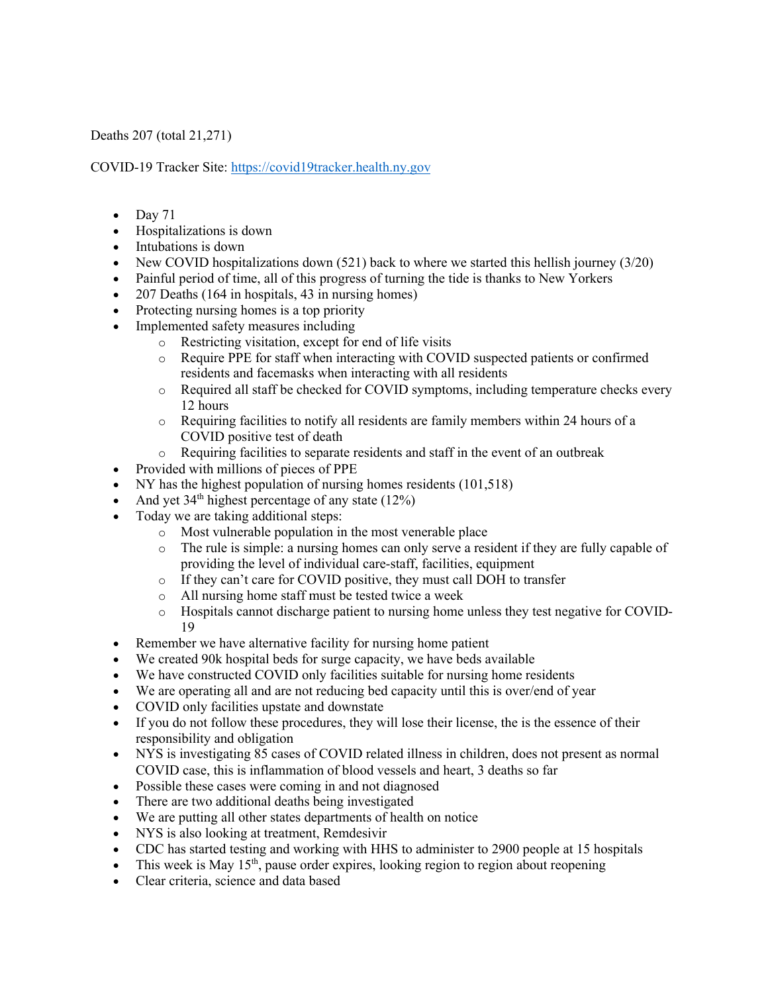Deaths 207 (total 21,271)

COVID-19 Tracker Site: https://covid19tracker.health.ny.gov

- $\bullet$  Day 71
- Hospitalizations is down
- Intubations is down
- New COVID hospitalizations down  $(521)$  back to where we started this hellish journey  $(3/20)$
- Painful period of time, all of this progress of turning the tide is thanks to New Yorkers
- 207 Deaths (164 in hospitals, 43 in nursing homes)
- Protecting nursing homes is a top priority
- Implemented safety measures including
	- o Restricting visitation, except for end of life visits
	- o Require PPE for staff when interacting with COVID suspected patients or confirmed residents and facemasks when interacting with all residents
	- o Required all staff be checked for COVID symptoms, including temperature checks every 12 hours
	- o Requiring facilities to notify all residents are family members within 24 hours of a COVID positive test of death
	- o Requiring facilities to separate residents and staff in the event of an outbreak
- Provided with millions of pieces of PPE
- NY has the highest population of nursing homes residents (101,518)
- And yet  $34<sup>th</sup>$  highest percentage of any state (12%)
- Today we are taking additional steps:
	- o Most vulnerable population in the most venerable place
	- o The rule is simple: a nursing homes can only serve a resident if they are fully capable of providing the level of individual care-staff, facilities, equipment
	- o If they can't care for COVID positive, they must call DOH to transfer
	- o All nursing home staff must be tested twice a week
	- o Hospitals cannot discharge patient to nursing home unless they test negative for COVID-19
- Remember we have alternative facility for nursing home patient
- We created 90k hospital beds for surge capacity, we have beds available
- We have constructed COVID only facilities suitable for nursing home residents
- We are operating all and are not reducing bed capacity until this is over/end of year
- COVID only facilities upstate and downstate
- If you do not follow these procedures, they will lose their license, the is the essence of their responsibility and obligation
- NYS is investigating 85 cases of COVID related illness in children, does not present as normal COVID case, this is inflammation of blood vessels and heart, 3 deaths so far
- Possible these cases were coming in and not diagnosed
- There are two additional deaths being investigated
- We are putting all other states departments of health on notice
- NYS is also looking at treatment, Remdesivir
- CDC has started testing and working with HHS to administer to 2900 people at 15 hospitals
- This week is May  $15<sup>th</sup>$ , pause order expires, looking region to region about reopening
- Clear criteria, science and data based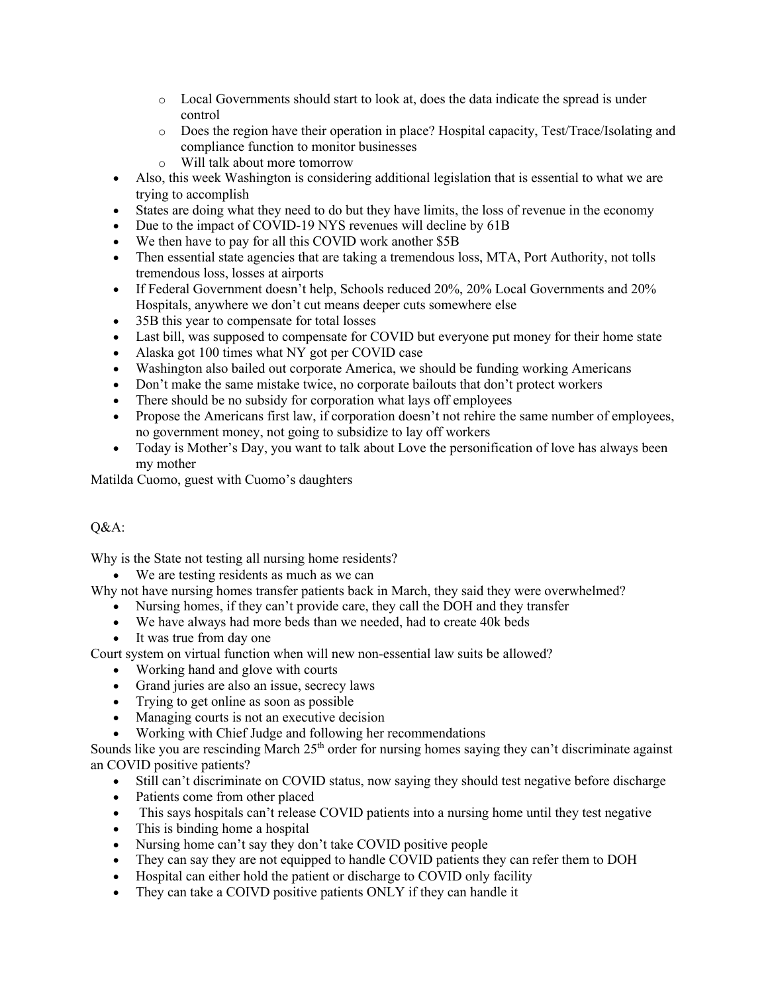- o Local Governments should start to look at, does the data indicate the spread is under control
- o Does the region have their operation in place? Hospital capacity, Test/Trace/Isolating and compliance function to monitor businesses
- o Will talk about more tomorrow
- Also, this week Washington is considering additional legislation that is essential to what we are trying to accomplish
- States are doing what they need to do but they have limits, the loss of revenue in the economy
- Due to the impact of COVID-19 NYS revenues will decline by 61B
- We then have to pay for all this COVID work another \$5B
- Then essential state agencies that are taking a tremendous loss, MTA, Port Authority, not tolls tremendous loss, losses at airports
- If Federal Government doesn't help, Schools reduced 20%, 20% Local Governments and 20% Hospitals, anywhere we don't cut means deeper cuts somewhere else
- 35B this year to compensate for total losses
- Last bill, was supposed to compensate for COVID but everyone put money for their home state
- Alaska got 100 times what NY got per COVID case
- Washington also bailed out corporate America, we should be funding working Americans
- Don't make the same mistake twice, no corporate bailouts that don't protect workers
- There should be no subsidy for corporation what lays off employees
- Propose the Americans first law, if corporation doesn't not rehire the same number of employees, no government money, not going to subsidize to lay off workers
- Today is Mother's Day, you want to talk about Love the personification of love has always been my mother

Matilda Cuomo, guest with Cuomo's daughters

## Q&A:

Why is the State not testing all nursing home residents?

• We are testing residents as much as we can

Why not have nursing homes transfer patients back in March, they said they were overwhelmed?

- Nursing homes, if they can't provide care, they call the DOH and they transfer
- We have always had more beds than we needed, had to create 40k beds
- It was true from day one

Court system on virtual function when will new non-essential law suits be allowed?

- Working hand and glove with courts
- Grand juries are also an issue, secrecy laws
- Trying to get online as soon as possible
- Managing courts is not an executive decision
- Working with Chief Judge and following her recommendations

Sounds like you are rescinding March  $25<sup>th</sup>$  order for nursing homes saying they can't discriminate against an COVID positive patients?

- Still can't discriminate on COVID status, now saying they should test negative before discharge
- Patients come from other placed
- This says hospitals can't release COVID patients into a nursing home until they test negative
- This is binding home a hospital
- Nursing home can't say they don't take COVID positive people
- They can say they are not equipped to handle COVID patients they can refer them to DOH
- Hospital can either hold the patient or discharge to COVID only facility
- They can take a COIVD positive patients ONLY if they can handle it